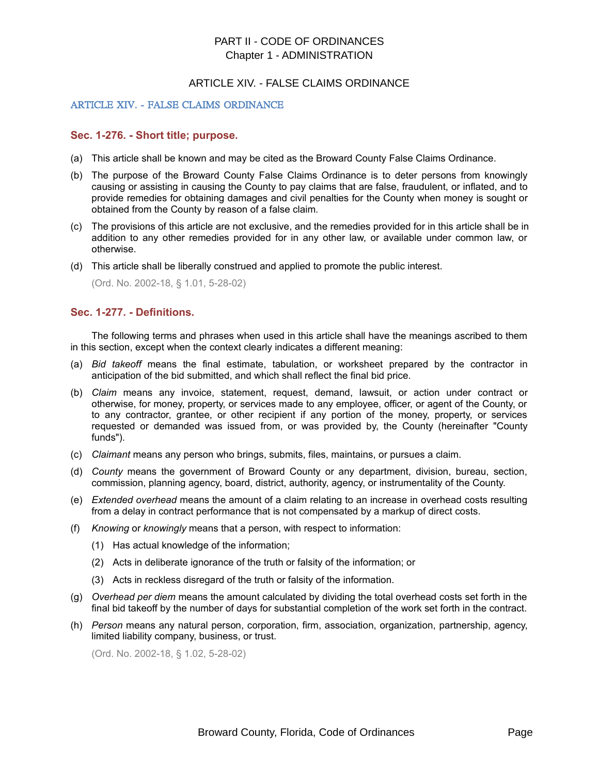## ARTICLE XIV. - FALSE CLAIMS ORDINANCE

# ARTICLE XIV. - FALSE CLAIMS ORDINANCE

## **Sec. 1-276. - Short title; purpose.**

- (a) This article shall be known and may be cited as the Broward County False Claims Ordinance.
- (b) The purpose of the Broward County False Claims Ordinance is to deter persons from knowingly causing or assisting in causing the County to pay claims that are false, fraudulent, or inflated, and to provide remedies for obtaining damages and civil penalties for the County when money is sought or obtained from the County by reason of a false claim.
- (c) The provisions of this article are not exclusive, and the remedies provided for in this article shall be in addition to any other remedies provided for in any other law, or available under common law, or otherwise.
- (d) This article shall be liberally construed and applied to promote the public interest.

(Ord. No. 2002-18, § 1.01, 5-28-02)

# **Sec. 1-277. - Definitions.**

The following terms and phrases when used in this article shall have the meanings ascribed to them in this section, except when the context clearly indicates a different meaning:

- (a) *Bid takeoff* means the final estimate, tabulation, or worksheet prepared by the contractor in anticipation of the bid submitted, and which shall reflect the final bid price.
- (b) *Claim* means any invoice, statement, request, demand, lawsuit, or action under contract or otherwise, for money, property, or services made to any employee, officer, or agent of the County, or to any contractor, grantee, or other recipient if any portion of the money, property, or services requested or demanded was issued from, or was provided by, the County (hereinafter "County funds").
- (c) *Claimant* means any person who brings, submits, files, maintains, or pursues a claim.
- (d) *County* means the government of Broward County or any department, division, bureau, section, commission, planning agency, board, district, authority, agency, or instrumentality of the County.
- (e) *Extended overhead* means the amount of a claim relating to an increase in overhead costs resulting from a delay in contract performance that is not compensated by a markup of direct costs.
- (f) *Knowing* or *knowingly* means that a person, with respect to information:
	- (1) Has actual knowledge of the information;
	- (2) Acts in deliberate ignorance of the truth or falsity of the information; or
	- (3) Acts in reckless disregard of the truth or falsity of the information.
- (g) *Overhead per diem* means the amount calculated by dividing the total overhead costs set forth in the final bid takeoff by the number of days for substantial completion of the work set forth in the contract.
- (h) *Person* means any natural person, corporation, firm, association, organization, partnership, agency, limited liability company, business, or trust.

(Ord. No. 2002-18, § 1.02, 5-28-02)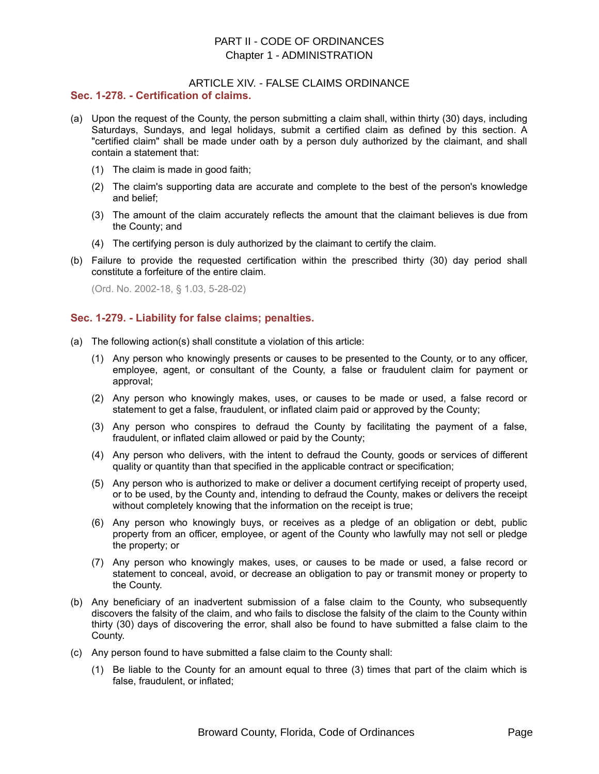## ARTICLE XIV. - FALSE CLAIMS ORDINANCE

## **Sec. 1-278. - Certification of claims.**

- (a) Upon the request of the County, the person submitting a claim shall, within thirty (30) days, including Saturdays, Sundays, and legal holidays, submit a certified claim as defined by this section. A "certified claim" shall be made under oath by a person duly authorized by the claimant, and shall contain a statement that:
	- (1) The claim is made in good faith;
	- (2) The claim's supporting data are accurate and complete to the best of the person's knowledge and belief;
	- (3) The amount of the claim accurately reflects the amount that the claimant believes is due from the County; and
	- (4) The certifying person is duly authorized by the claimant to certify the claim.
- (b) Failure to provide the requested certification within the prescribed thirty (30) day period shall constitute a forfeiture of the entire claim.

(Ord. No. 2002-18, § 1.03, 5-28-02)

# **Sec. 1-279. - Liability for false claims; penalties.**

- (a) The following action(s) shall constitute a violation of this article:
	- (1) Any person who knowingly presents or causes to be presented to the County, or to any officer, employee, agent, or consultant of the County, a false or fraudulent claim for payment or approval;
	- (2) Any person who knowingly makes, uses, or causes to be made or used, a false record or statement to get a false, fraudulent, or inflated claim paid or approved by the County;
	- (3) Any person who conspires to defraud the County by facilitating the payment of a false, fraudulent, or inflated claim allowed or paid by the County;
	- (4) Any person who delivers, with the intent to defraud the County, goods or services of different quality or quantity than that specified in the applicable contract or specification;
	- (5) Any person who is authorized to make or deliver a document certifying receipt of property used, or to be used, by the County and, intending to defraud the County, makes or delivers the receipt without completely knowing that the information on the receipt is true;
	- (6) Any person who knowingly buys, or receives as a pledge of an obligation or debt, public property from an officer, employee, or agent of the County who lawfully may not sell or pledge the property; or
	- (7) Any person who knowingly makes, uses, or causes to be made or used, a false record or statement to conceal, avoid, or decrease an obligation to pay or transmit money or property to the County.
- (b) Any beneficiary of an inadvertent submission of a false claim to the County, who subsequently discovers the falsity of the claim, and who fails to disclose the falsity of the claim to the County within thirty (30) days of discovering the error, shall also be found to have submitted a false claim to the County.
- (c) Any person found to have submitted a false claim to the County shall:
	- (1) Be liable to the County for an amount equal to three (3) times that part of the claim which is false, fraudulent, or inflated;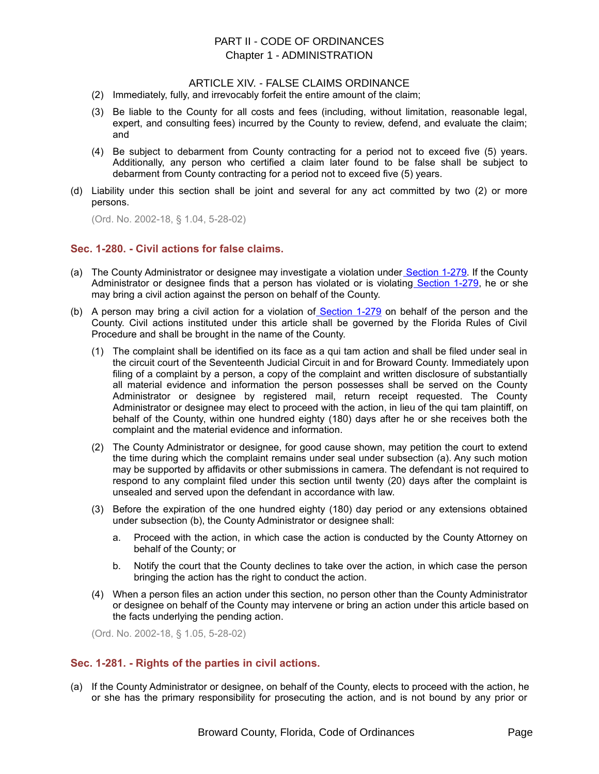## ARTICLE XIV. - FALSE CLAIMS ORDINANCE

- (2) Immediately, fully, and irrevocably forfeit the entire amount of the claim;
- (3) Be liable to the County for all costs and fees (including, without limitation, reasonable legal, expert, and consulting fees) incurred by the County to review, defend, and evaluate the claim; and
- (4) Be subject to debarment from County contracting for a period not to exceed five (5) years. Additionally, any person who certified a claim later found to be false shall be subject to debarment from County contracting for a period not to exceed five (5) years.
- (d) Liability under this section shall be joint and several for any act committed by two (2) or more persons.

(Ord. No. 2002-18, § 1.04, 5-28-02)

# **Sec. 1-280. - Civil actions for false claims.**

- (a) The County Administrator or designee may investigate a violation unde[r Section 1-279.](file:///C:%5CDocuments%20and%20Settings%5CDavidwpb%5CMy%20Documents%5Clevel3%5CPTIICOOR_CH1AD_ARTXIVFACLOR.docx#PTIICOOR_CH1AD_ARTXIVFACLOR_S1-279LIFACLPE) If the County Administrator or designee finds that a person has violated or is violatin[g Section 1-279,](file:///C:%5CDocuments%20and%20Settings%5CDavidwpb%5CMy%20Documents%5Clevel3%5CPTIICOOR_CH1AD_ARTXIVFACLOR.docx#PTIICOOR_CH1AD_ARTXIVFACLOR_S1-279LIFACLPE) he or she may bring a civil action against the person on behalf of the County.
- (b) A person may bring a civil action for a violation o[f Section 1-279](file:///C:%5CDocuments%20and%20Settings%5CDavidwpb%5CMy%20Documents%5Clevel3%5CPTIICOOR_CH1AD_ARTXIVFACLOR.docx#PTIICOOR_CH1AD_ARTXIVFACLOR_S1-279LIFACLPE) on behalf of the person and the County. Civil actions instituted under this article shall be governed by the Florida Rules of Civil Procedure and shall be brought in the name of the County.
	- (1) The complaint shall be identified on its face as a qui tam action and shall be filed under seal in the circuit court of the Seventeenth Judicial Circuit in and for Broward County. Immediately upon filing of a complaint by a person, a copy of the complaint and written disclosure of substantially all material evidence and information the person possesses shall be served on the County Administrator or designee by registered mail, return receipt requested. The County Administrator or designee may elect to proceed with the action, in lieu of the qui tam plaintiff, on behalf of the County, within one hundred eighty (180) days after he or she receives both the complaint and the material evidence and information.
	- (2) The County Administrator or designee, for good cause shown, may petition the court to extend the time during which the complaint remains under seal under subsection (a). Any such motion may be supported by affidavits or other submissions in camera. The defendant is not required to respond to any complaint filed under this section until twenty (20) days after the complaint is unsealed and served upon the defendant in accordance with law.
	- (3) Before the expiration of the one hundred eighty (180) day period or any extensions obtained under subsection (b), the County Administrator or designee shall:
		- a. Proceed with the action, in which case the action is conducted by the County Attorney on behalf of the County; or
		- b. Notify the court that the County declines to take over the action, in which case the person bringing the action has the right to conduct the action.
	- (4) When a person files an action under this section, no person other than the County Administrator or designee on behalf of the County may intervene or bring an action under this article based on the facts underlying the pending action.

(Ord. No. 2002-18, § 1.05, 5-28-02)

## **Sec. 1-281. - Rights of the parties in civil actions.**

(a) If the County Administrator or designee, on behalf of the County, elects to proceed with the action, he or she has the primary responsibility for prosecuting the action, and is not bound by any prior or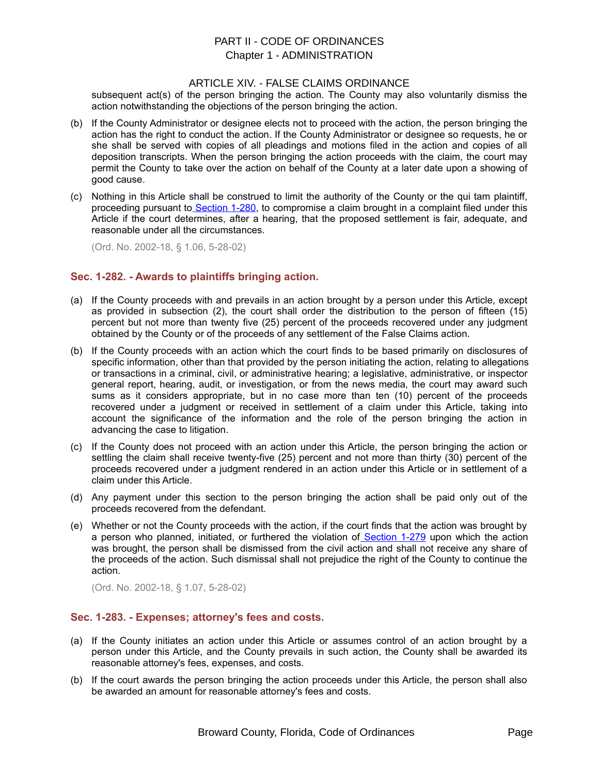#### ARTICLE XIV. - FALSE CLAIMS ORDINANCE

subsequent act(s) of the person bringing the action. The County may also voluntarily dismiss the action notwithstanding the objections of the person bringing the action.

- (b) If the County Administrator or designee elects not to proceed with the action, the person bringing the action has the right to conduct the action. If the County Administrator or designee so requests, he or she shall be served with copies of all pleadings and motions filed in the action and copies of all deposition transcripts. When the person bringing the action proceeds with the claim, the court may permit the County to take over the action on behalf of the County at a later date upon a showing of good cause.
- (c) Nothing in this Article shall be construed to limit the authority of the County or the qui tam plaintiff, proceeding pursuant t[o Section 1-280,](file:///C:%5CDocuments%20and%20Settings%5CDavidwpb%5CMy%20Documents%5Clevel3%5CPTIICOOR_CH1AD_ARTXIVFACLOR.docx#PTIICOOR_CH1AD_ARTXIVFACLOR_S1-280CIACFACL) to compromise a claim brought in a complaint filed under this Article if the court determines, after a hearing, that the proposed settlement is fair, adequate, and reasonable under all the circumstances.

(Ord. No. 2002-18, § 1.06, 5-28-02)

# **Sec. 1-282. - Awards to plaintiffs bringing action.**

- (a) If the County proceeds with and prevails in an action brought by a person under this Article, except as provided in subsection (2), the court shall order the distribution to the person of fifteen (15) percent but not more than twenty five (25) percent of the proceeds recovered under any judgment obtained by the County or of the proceeds of any settlement of the False Claims action.
- (b) If the County proceeds with an action which the court finds to be based primarily on disclosures of specific information, other than that provided by the person initiating the action, relating to allegations or transactions in a criminal, civil, or administrative hearing; a legislative, administrative, or inspector general report, hearing, audit, or investigation, or from the news media, the court may award such sums as it considers appropriate, but in no case more than ten (10) percent of the proceeds recovered under a judgment or received in settlement of a claim under this Article, taking into account the significance of the information and the role of the person bringing the action in advancing the case to litigation.
- (c) If the County does not proceed with an action under this Article, the person bringing the action or settling the claim shall receive twenty-five (25) percent and not more than thirty (30) percent of the proceeds recovered under a judgment rendered in an action under this Article or in settlement of a claim under this Article.
- (d) Any payment under this section to the person bringing the action shall be paid only out of the proceeds recovered from the defendant.
- (e) Whether or not the County proceeds with the action, if the court finds that the action was brought by a person who planned, initiated, or furthered the violation of [Section 1-279](file:///C:%5CDocuments%20and%20Settings%5CDavidwpb%5CMy%20Documents%5Clevel3%5CPTIICOOR_CH1AD_ARTXIVFACLOR.docx#PTIICOOR_CH1AD_ARTXIVFACLOR_S1-279LIFACLPE) upon which the action was brought, the person shall be dismissed from the civil action and shall not receive any share of the proceeds of the action. Such dismissal shall not prejudice the right of the County to continue the action.

(Ord. No. 2002-18, § 1.07, 5-28-02)

#### **Sec. 1-283. - Expenses; attorney's fees and costs.**

- (a) If the County initiates an action under this Article or assumes control of an action brought by a person under this Article, and the County prevails in such action, the County shall be awarded its reasonable attorney's fees, expenses, and costs.
- (b) If the court awards the person bringing the action proceeds under this Article, the person shall also be awarded an amount for reasonable attorney's fees and costs.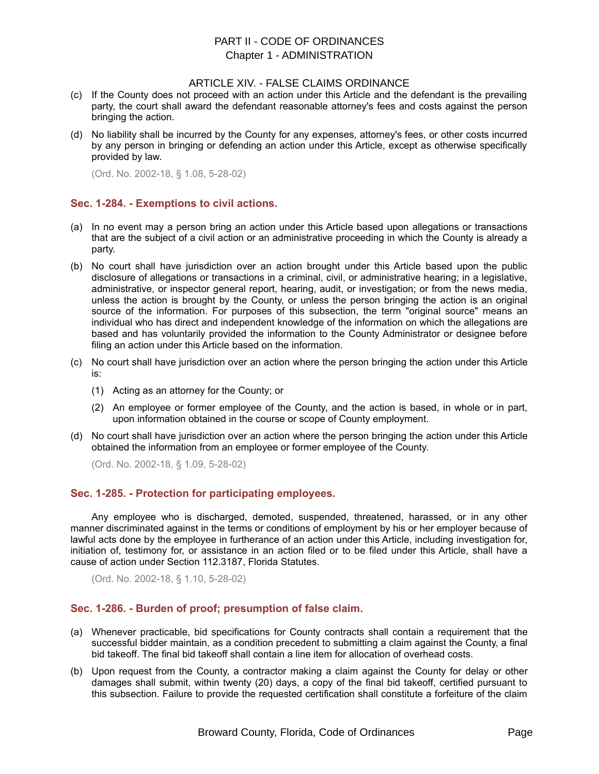### ARTICLE XIV. - FALSE CLAIMS ORDINANCE

- (c) If the County does not proceed with an action under this Article and the defendant is the prevailing party, the court shall award the defendant reasonable attorney's fees and costs against the person bringing the action.
- (d) No liability shall be incurred by the County for any expenses, attorney's fees, or other costs incurred by any person in bringing or defending an action under this Article, except as otherwise specifically provided by law.

(Ord. No. 2002-18, § 1.08, 5-28-02)

## **Sec. 1-284. - Exemptions to civil actions.**

- (a) In no event may a person bring an action under this Article based upon allegations or transactions that are the subject of a civil action or an administrative proceeding in which the County is already a party.
- (b) No court shall have jurisdiction over an action brought under this Article based upon the public disclosure of allegations or transactions in a criminal, civil, or administrative hearing; in a legislative, administrative, or inspector general report, hearing, audit, or investigation; or from the news media, unless the action is brought by the County, or unless the person bringing the action is an original source of the information. For purposes of this subsection, the term "original source" means an individual who has direct and independent knowledge of the information on which the allegations are based and has voluntarily provided the information to the County Administrator or designee before filing an action under this Article based on the information.
- (c) No court shall have jurisdiction over an action where the person bringing the action under this Article is:
	- (1) Acting as an attorney for the County; or
	- (2) An employee or former employee of the County, and the action is based, in whole or in part, upon information obtained in the course or scope of County employment.
- (d) No court shall have jurisdiction over an action where the person bringing the action under this Article obtained the information from an employee or former employee of the County.

(Ord. No. 2002-18, § 1.09, 5-28-02)

## **Sec. 1-285. - Protection for participating employees.**

Any employee who is discharged, demoted, suspended, threatened, harassed, or in any other manner discriminated against in the terms or conditions of employment by his or her employer because of lawful acts done by the employee in furtherance of an action under this Article, including investigation for, initiation of, testimony for, or assistance in an action filed or to be filed under this Article, shall have a cause of action under Section 112.3187, Florida Statutes.

(Ord. No. 2002-18, § 1.10, 5-28-02)

# **Sec. 1-286. - Burden of proof; presumption of false claim.**

- (a) Whenever practicable, bid specifications for County contracts shall contain a requirement that the successful bidder maintain, as a condition precedent to submitting a claim against the County, a final bid takeoff. The final bid takeoff shall contain a line item for allocation of overhead costs.
- (b) Upon request from the County, a contractor making a claim against the County for delay or other damages shall submit, within twenty (20) days, a copy of the final bid takeoff, certified pursuant to this subsection. Failure to provide the requested certification shall constitute a forfeiture of the claim